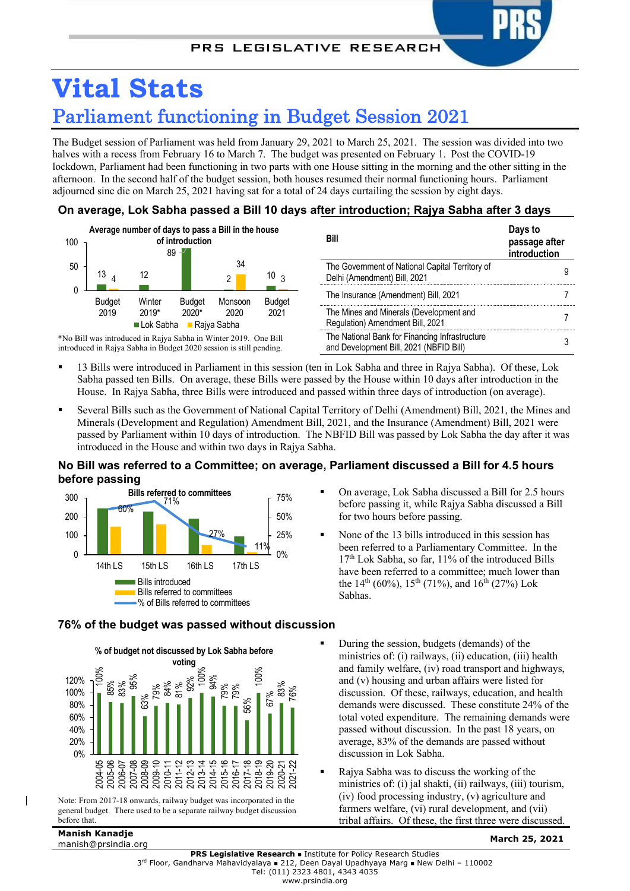

The Budget session of Parliament was held from January 29, 2021 to March 25, 2021. The session was divided into two halves with a recess from February 16 to March 7. The budget was presented on February 1. Post the COVID-19 lockdown, Parliament had been functioning in two parts with one House sitting in the morning and the other sitting in the afternoon. In the second half of the budget session, both houses resumed their normal functioning hours. Parliament adjourned sine die on March 25, 2021 having sat for a total of 24 days curtailing the session by eight days.

## **On average, Lok Sabha passed a Bill 10 days after introduction; Rajya Sabha after 3 days**



\*No Bill was introduced in Rajya Sabha in Winter 2019. One Bill introduced in Rajya Sabha in Budget 2020 session is still pending.

**Bill Days to passage after introduction** The Government of National Capital Territory of The Government of National Capital Territory of Gold Chemical American Section 2014 The Insurance (Amendment) Bill, 2021 7 The Mines and Minerals (Development and Regulation) Amendment Bill, 2021 The National Bank for Financing Infrastructure The National Bank for Financing infrastructure<br>and Development Bill, 2021 (NBFID Bill)

- § 13 Bills were introduced in Parliament in this session (ten in Lok Sabha and three in Rajya Sabha). Of these, Lok Sabha passed ten Bills. On average, these Bills were passed by the House within 10 days after introduction in the House. In Rajya Sabha, three Bills were introduced and passed within three days of introduction (on average).
- § Several Bills such as the Government of National Capital Territory of Delhi (Amendment) Bill, 2021, the Mines and Minerals (Development and Regulation) Amendment Bill, 2021, and the Insurance (Amendment) Bill, 2021 were passed by Parliament within 10 days of introduction. The NBFID Bill was passed by Lok Sabha the day after it was introduced in the House and within two days in Rajya Sabha.

# **No Bill was referred to a Committee; on average, Parliament discussed a Bill for 4.5 hours before passing**



- § On average, Lok Sabha discussed a Bill for 2.5 hours before passing it, while Rajya Sabha discussed a Bill for two hours before passing.
- § None of the 13 bills introduced in this session has been referred to a Parliamentary Committee. In the 17<sup>th</sup> Lok Sabha, so far, 11% of the introduced Bills have been referred to a committee; much lower than the  $14^{th}$  (60%),  $15^{th}$  (71%), and  $16^{th}$  (27%) Lok Sabhas.



Note: From 2017-18 onwards, railway budget was incorporated in the general budget. There used to be a separate railway budget discussion before that.

# **Manish Kanadje**

- § During the session, budgets (demands) of the ministries of: (i) railways, (ii) education, (iii) health and family welfare, (iv) road transport and highways, and (v) housing and urban affairs were listed for discussion. Of these, railways, education, and health
	- demands were discussed. These constitute 24% of the total voted expenditure. The remaining demands were passed without discussion. In the past 18 years, on average, 83% of the demands are passed without discussion in Lok Sabha.
	- § Rajya Sabha was to discuss the working of the ministries of: (i) jal shakti, (ii) railways, (iii) tourism, (iv) food processing industry, (v) agriculture and farmers welfare, (vi) rural development, and (vii) tribal affairs. Of these, the first three were discussed.

**76% of the budget was passed without discussion**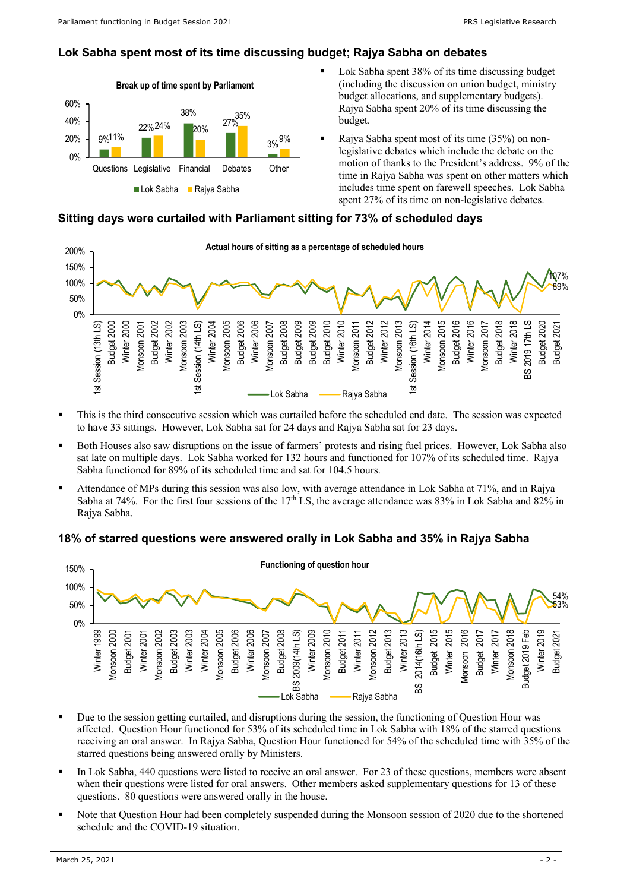## **Lok Sabha spent most of its time discussing budget; Rajya Sabha on debates**



- Lok Sabha spent 38% of its time discussing budget (including the discussion on union budget, ministry budget allocations, and supplementary budgets). Rajya Sabha spent 20% of its time discussing the budget.
- § Rajya Sabha spent most of its time (35%) on nonlegislative debates which include the debate on the motion of thanks to the President's address. 9% of the time in Rajya Sabha was spent on other matters which includes time spent on farewell speeches. Lok Sabha spent 27% of its time on non-legislative debates.

#### **Sitting days were curtailed with Parliament sitting for 73% of scheduled days**



- This is the third consecutive session which was curtailed before the scheduled end date. The session was expected to have 33 sittings. However, Lok Sabha sat for 24 days and Rajya Sabha sat for 23 days.
- Both Houses also saw disruptions on the issue of farmers' protests and rising fuel prices. However, Lok Sabha also sat late on multiple days. Lok Sabha worked for 132 hours and functioned for 107% of its scheduled time. Rajya Sabha functioned for 89% of its scheduled time and sat for 104.5 hours.
- § Attendance of MPs during this session was also low, with average attendance in Lok Sabha at 71%, and in Rajya Sabha at 74%. For the first four sessions of the  $17<sup>th</sup>$  LS, the average attendance was 83% in Lok Sabha and 82% in Rajya Sabha.

### **18% of starred questions were answered orally in Lok Sabha and 35% in Rajya Sabha**



- Due to the session getting curtailed, and disruptions during the session, the functioning of Question Hour was affected. Question Hour functioned for 53% of its scheduled time in Lok Sabha with 18% of the starred questions receiving an oral answer. In Rajya Sabha, Question Hour functioned for 54% of the scheduled time with 35% of the starred questions being answered orally by Ministers.
- In Lok Sabha, 440 questions were listed to receive an oral answer. For 23 of these questions, members were absent when their questions were listed for oral answers. Other members asked supplementary questions for 13 of these questions. 80 questions were answered orally in the house.
- Note that Question Hour had been completely suspended during the Monsoon session of 2020 due to the shortened schedule and the COVID-19 situation.